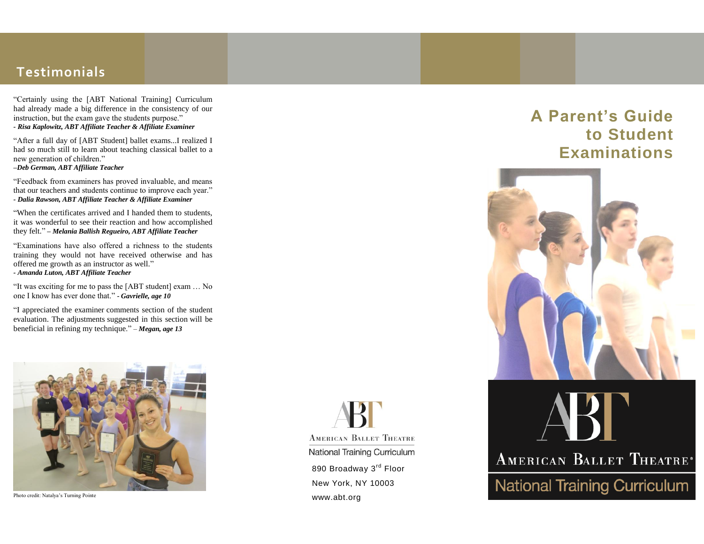### **Testimonials**

"Certainly using the [ABT National Training] Curriculum had already made a big difference in the consistency of our instruction, but the exam gave the students purpose." *- Risa Kaplowitz, ABT Affiliate Teacher & Affiliate Examiner*

"After a full day of [ABT Student] ballet exams...I realized I had so much still to learn about teaching classical ballet to a new generation of children." *–Deb German, ABT Affiliate Teacher*

"Feedback from examiners has proved invaluable, and means that our teachers and students continue to improve each year." *- Dalia Rawson, ABT Affiliate Teacher & Affiliate Examiner*

"When the certificates arrived and I handed them to students, it was wonderful to see their reaction and how accomplished they felt." *– Melania Ballish Regueiro, ABT Affiliate Teacher*

"Examinations have also offered a richness to the students training they would not have received otherwise and has offered me growth as an instructor as well." *- Amanda Luton, ABT Affiliate Teacher*

"It was exciting for me to pass the [ABT student] exam … No one I know has ever done that." *- Gavrielle, age 10*

"I appreciated the examiner comments section of the student evaluation. The adjustments suggested in this section will be beneficial in refining my technique." – *Megan, age 13*



Photo credit: Natalya's Turning Pointe

**ABT AMERICAN BALLET THEATRE** National Training Curriculum 890 Broadway 3<sup>rd</sup> Floor New York, NY 10003 www.abt.org

# **A Parent's Guide to Student Examinations**